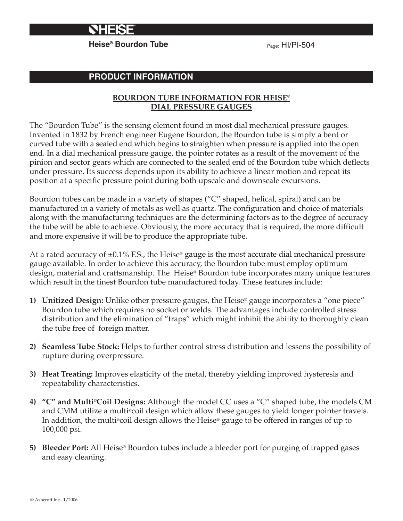

**Heise<sup>®</sup> Bourdon Tube** Page: HI/PI-504

# **PRODUCT INFORMATION**

### **BOURDON TUBE INFORMATION FOR HEISE® DIAL PRESSURE GAUGES**

The "Bourdon Tube" is the sensing element found in most dial mechanical pressure gauges. Invented in 1832 by French engineer Eugene Bourdon, the Bourdon tube is simply a bent or curved tube with a sealed end which begins to straighten when pressure is applied into the open end. In a dial mechanical pressure gauge, the pointer rotates as a result of the movement of the pinion and sector gears which are connected to the sealed end of the Bourdon tube which deflects under pressure. Its success depends upon its ability to achieve a linear motion and repeat its position at a specific pressure point during both upscale and downscale excursions.

Bourdon tubes can be made in a variety of shapes ("C" shaped, helical, spiral) and can be manufactured in a variety of metals as well as quartz. The configuration and choice of materials along with the manufacturing techniques are the determining factors as to the degree of accuracy the tube will be able to achieve. Obviously, the more accuracy that is required, the more difficult and more expensive it will be to produce the appropriate tube.

At a rated accuracy of  $\pm 0.1\%$  F.S., the Heise<sup>®</sup> gauge is the most accurate dial mechanical pressure gauge available. In order to achieve this accuracy, the Bourdon tube must employ optimum design, material and craftsmanship. The Heise® Bourdon tube incorporates many unique features which result in the finest Bourdon tube manufactured today. These features include:

- **1) Unitized Design:** Unlike other pressure gauges, the Heise® gauge incorporates a "one piece" Bourdon tube which requires no socket or welds. The advantages include controlled stress distribution and the elimination of "traps" which might inhibit the ability to thoroughly clean the tube free of foreign matter.
- **2) Seamless Tube Stock:** Helps to further control stress distribution and lessens the possibility of rupture during overpressure.
- **3) Heat Treating:** Improves elasticity of the metal, thereby yielding improved hysteresis and repeatability characteristics.
- **4) "C" and Multi©Coil Designs:** Although the model CC uses a "C" shaped tube, the models CM and CMM utilize a multi©coil design which allow these gauges to yield longer pointer travels. In addition, the multi©coil design allows the Heise® gauge to be offered in ranges of up to 100,000 psi.
- **5) Bleeder Port:** All Heise® Bourdon tubes include a bleeder port for purging of trapped gases and easy cleaning.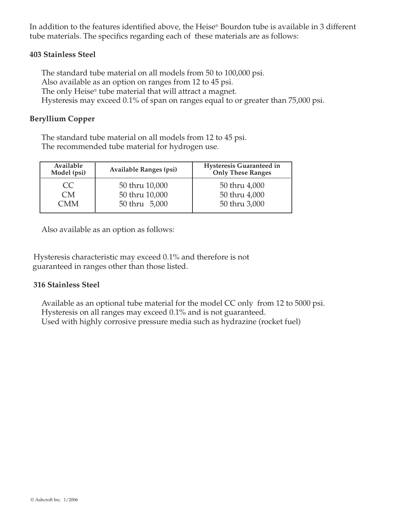In addition to the features identified above, the Heise® Bourdon tube is available in 3 different tube materials. The specifics regarding each of these materials are as follows:

### **403 Stainless Steel**

The standard tube material on all models from 50 to 100,000 psi. Also available as an option on ranges from 12 to 45 psi. The only Heise® tube material that will attract a magnet. Hysteresis may exceed 0.1% of span on ranges equal to or greater than 75,000 psi.

### **Beryllium Copper**

The standard tube material on all models from 12 to 45 psi. The recommended tube material for hydrogen use.

| Available<br>Model (psi) | Available Ranges (psi)           | <b>Hysteresis Guaranteed in</b><br><b>Only These Ranges</b> |
|--------------------------|----------------------------------|-------------------------------------------------------------|
| CC<br>CM <sup>-</sup>    | 50 thru 10,000<br>50 thru 10,000 | 50 thru 4,000<br>50 thru 4,000                              |
| CMM                      | 50 thru 5,000                    | 50 thru 3,000                                               |

Also available as an option as follows:

 Hysteresis characteristic may exceed 0.1% and therefore is not guaranteed in ranges other than those listed.

#### **316 Stainless Steel**

Available as an optional tube material for the model CC only from 12 to 5000 psi. Hysteresis on all ranges may exceed 0.1% and is not guaranteed. Used with highly corrosive pressure media such as hydrazine (rocket fuel)